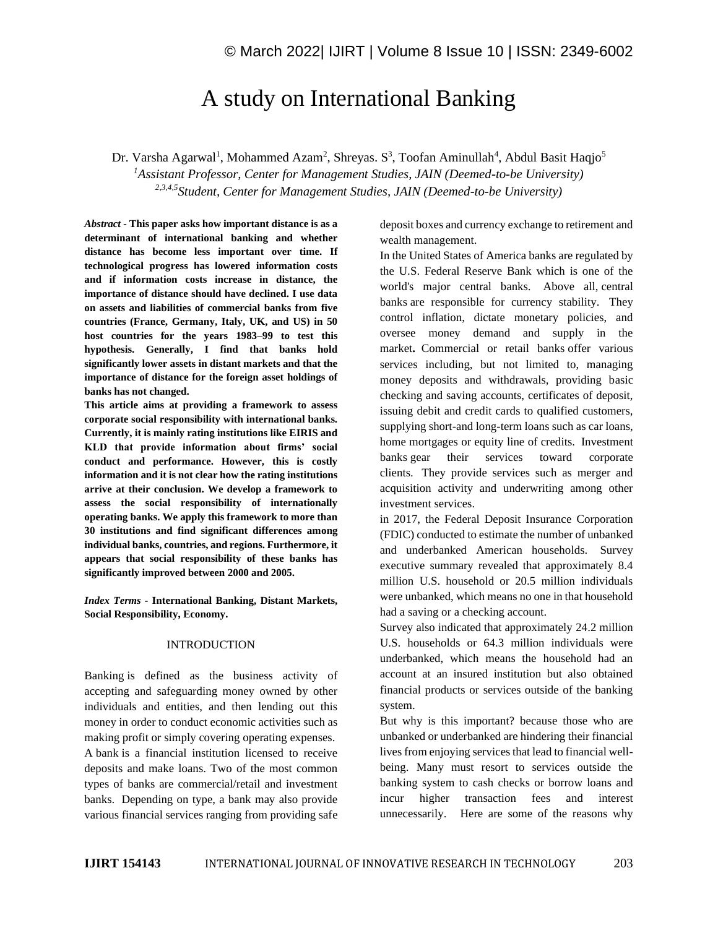# A study on International Banking

Dr. Varsha Agarwal<sup>1</sup>, Mohammed Azam<sup>2</sup>, Shreyas. S<sup>3</sup>, Toofan Aminullah<sup>4</sup>, Abdul Basit Haqjo<sup>5</sup> *<sup>1</sup>Assistant Professor, Center for Management Studies, JAIN (Deemed-to-be University) 2,3,4,5Student, Center for Management Studies, JAIN (Deemed-to-be University)*

*Abstract -* **This paper asks how important distance is as a determinant of international banking and whether distance has become less important over time. If technological progress has lowered information costs and if information costs increase in distance, the importance of distance should have declined. I use data on assets and liabilities of commercial banks from five countries (France, Germany, Italy, UK, and US) in 50 host countries for the years 1983–99 to test this hypothesis. Generally, I find that banks hold significantly lower assets in distant markets and that the importance of distance for the foreign asset holdings of banks has not changed.**

**This article aims at providing a framework to assess corporate social responsibility with international banks. Currently, it is mainly rating institutions like EIRIS and KLD that provide information about firms' social conduct and performance. However, this is costly information and it is not clear how the rating institutions arrive at their conclusion. We develop a framework to assess the social responsibility of internationally operating banks. We apply this framework to more than 30 institutions and find significant differences among individual banks, countries, and regions. Furthermore, it appears that social responsibility of these banks has significantly improved between 2000 and 2005.**

*Index Terms -* **International Banking, Distant Markets, Social Responsibility, Economy.**

#### INTRODUCTION

Banking is defined as the business activity of accepting and safeguarding money owned by other individuals and entities, and then lending out this money in order to conduct economic activities such as making profit or simply covering operating expenses. A bank is a financial institution licensed to receive deposits and make loans. Two of the most common types of banks are commercial/retail and investment banks. Depending on type, a bank may also provide various financial services ranging from providing safe deposit boxes and currency exchange to retirement and wealth management.

In the United States of America banks are regulated by the U.S. Federal Reserve Bank which is one of the world's major central banks. Above all, central banks are responsible for currency stability. They control inflation, dictate monetary policies, and oversee money demand and supply in the market**.** Commercial or retail banks offer various services including, but not limited to, managing money deposits and withdrawals, providing basic checking and saving accounts, certificates of deposit, issuing debit and credit cards to qualified customers, supplying short-and long-term loans such as car loans, home mortgages or equity line of credits. Investment banks gear their services toward corporate clients. They provide services such as merger and acquisition activity and underwriting among other investment services.

in 2017, the Federal Deposit Insurance Corporation (FDIC) conducted to estimate the number of unbanked and underbanked American households. Survey executive summary revealed that approximately 8.4 million U.S. household or 20.5 million individuals were unbanked, which means no one in that household had a saving or a checking account.

Survey also indicated that approximately 24.2 million U.S. households or 64.3 million individuals were underbanked, which means the household had an account at an insured institution but also obtained financial products or services outside of the banking system.

But why is this important? because those who are unbanked or underbanked are hindering their financial lives from enjoying services that lead to financial wellbeing. Many must resort to services outside the banking system to cash checks or borrow loans and incur higher transaction fees and interest unnecessarily. Here are some of the reasons why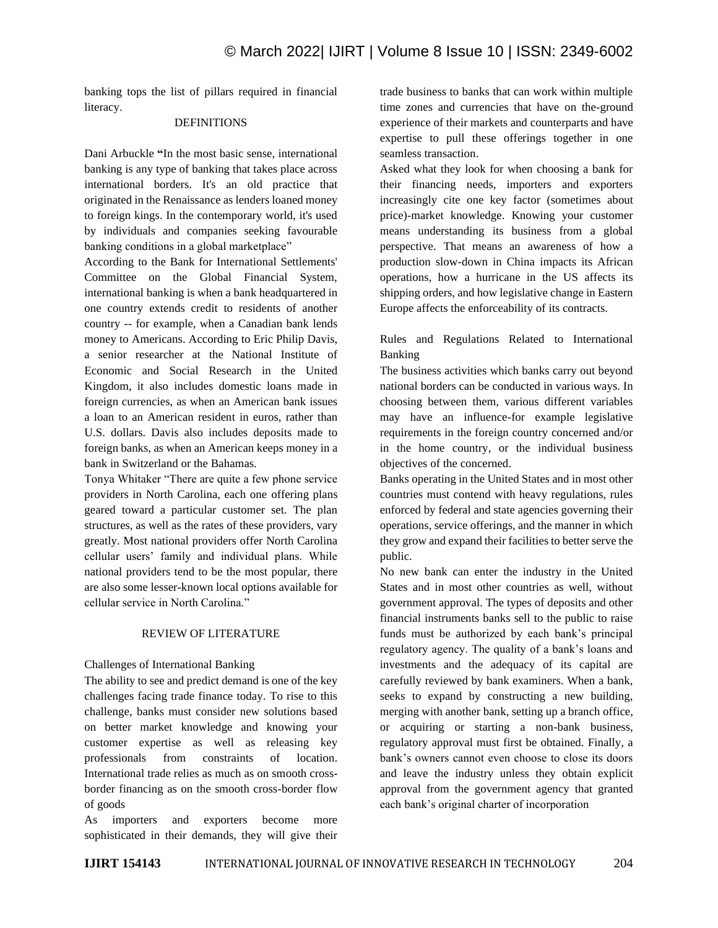banking tops the list of pillars required in financial literacy.

## DEFINITIONS

Dani Arbuckle **"**In the most basic sense, international banking is any type of banking that takes place across international borders. It's an old practice that originated in the Renaissance as lenders loaned money to foreign kings. In the contemporary world, it's used by individuals and companies seeking favourable banking conditions in a global marketplace"

According to the Bank for International Settlements' Committee on the Global Financial System, international banking is when a bank headquartered in one country extends credit to residents of another country -- for example, when a Canadian bank lends money to Americans. According to Eric Philip Davis, a senior researcher at the National Institute of Economic and Social Research in the United Kingdom, it also includes domestic loans made in foreign currencies, as when an American bank issues a loan to an American resident in euros, rather than U.S. dollars. Davis also includes deposits made to foreign banks, as when an American keeps money in a bank in Switzerland or the Bahamas.

Tonya Whitaker "There are quite a few phone service providers in North Carolina, each one offering plans geared toward a particular customer set. The plan structures, as well as the rates of these providers, vary greatly. Most national providers offer North Carolina cellular users' family and individual plans. While national providers tend to be the most popular, there are also some lesser-known local options available for cellular service in North Carolina."

#### REVIEW OF LITERATURE

#### Challenges of International Banking

The ability to see and predict demand is one of the key challenges facing trade finance today. To rise to this challenge, banks must consider new solutions based on better market knowledge and knowing your customer expertise as well as releasing key professionals from constraints of location. International trade relies as much as on smooth crossborder financing as on the smooth cross-border flow of goods

As importers and exporters become more sophisticated in their demands, they will give their trade business to banks that can work within multiple time zones and currencies that have on the-ground experience of their markets and counterparts and have expertise to pull these offerings together in one seamless transaction.

Asked what they look for when choosing a bank for their financing needs, importers and exporters increasingly cite one key factor (sometimes about price)-market knowledge. Knowing your customer means understanding its business from a global perspective. That means an awareness of how a production slow-down in China impacts its African operations, how a hurricane in the US affects its shipping orders, and how legislative change in Eastern Europe affects the enforceability of its contracts.

## Rules and Regulations Related to International Banking

The business activities which banks carry out beyond national borders can be conducted in various ways. In choosing between them, various different variables may have an influence-for example legislative requirements in the foreign country concerned and/or in the home country, or the individual business objectives of the concerned.

Banks operating in the United States and in most other countries must contend with heavy regulations, rules enforced by federal and state agencies governing their operations, service offerings, and the manner in which they grow and expand their facilities to better serve the public.

No new bank can enter the industry in the United States and in most other countries as well, without government approval. The types of deposits and other financial instruments banks sell to the public to raise funds must be authorized by each bank's principal regulatory agency. The quality of a bank's loans and investments and the adequacy of its capital are carefully reviewed by bank examiners. When a bank, seeks to expand by constructing a new building, merging with another bank, setting up a branch office, or acquiring or starting a non-bank business, regulatory approval must first be obtained. Finally, a bank's owners cannot even choose to close its doors and leave the industry unless they obtain explicit approval from the government agency that granted each bank's original charter of incorporation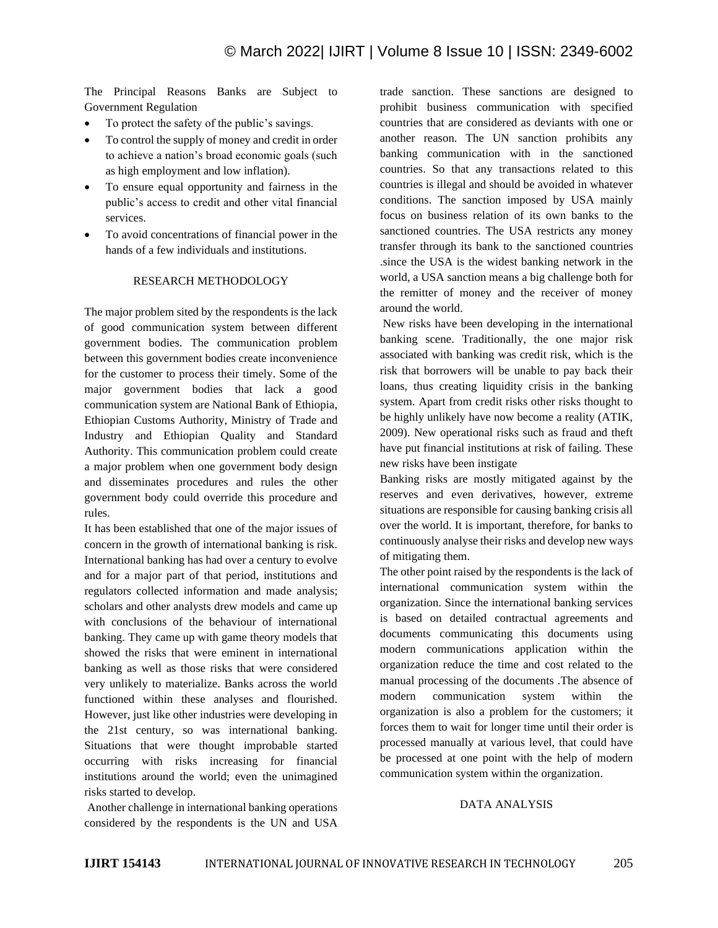The Principal Reasons Banks are Subject to Government Regulation

- To protect the safety of the public's savings.
- To control the supply of money and credit in order to achieve a nation's broad economic goals (such as high employment and low inflation).
- To ensure equal opportunity and fairness in the public's access to credit and other vital financial services.
- To avoid concentrations of financial power in the hands of a few individuals and institutions.

#### RESEARCH METHODOLOGY

The major problem sited by the respondents is the lack of good communication system between different government bodies. The communication problem between this government bodies create inconvenience for the customer to process their timely. Some of the major government bodies that lack a good communication system are National Bank of Ethiopia, Ethiopian Customs Authority, Ministry of Trade and Industry and Ethiopian Quality and Standard Authority. This communication problem could create a major problem when one government body design and disseminates procedures and rules the other government body could override this procedure and rules.

It has been established that one of the major issues of concern in the growth of international banking is risk. International banking has had over a century to evolve and for a major part of that period, institutions and regulators collected information and made analysis; scholars and other analysts drew models and came up with conclusions of the behaviour of international banking. They came up with game theory models that showed the risks that were eminent in international banking as well as those risks that were considered very unlikely to materialize. Banks across the world functioned within these analyses and flourished. However, just like other industries were developing in the 21st century, so was international banking. Situations that were thought improbable started occurring with risks increasing for financial institutions around the world; even the unimagined risks started to develop.

Another challenge in international banking operations considered by the respondents is the UN and USA trade sanction. These sanctions are designed to prohibit business communication with specified countries that are considered as deviants with one or another reason. The UN sanction prohibits any banking communication with in the sanctioned countries. So that any transactions related to this countries is illegal and should be avoided in whatever conditions. The sanction imposed by USA mainly focus on business relation of its own banks to the sanctioned countries. The USA restricts any money transfer through its bank to the sanctioned countries .since the USA is the widest banking network in the world, a USA sanction means a big challenge both for the remitter of money and the receiver of money around the world.

New risks have been developing in the international banking scene. Traditionally, the one major risk associated with banking was credit risk, which is the risk that borrowers will be unable to pay back their loans, thus creating liquidity crisis in the banking system. Apart from credit risks other risks thought to be highly unlikely have now become a reality (ATIK, 2009). New operational risks such as fraud and theft have put financial institutions at risk of failing. These new risks have been instigate

Banking risks are mostly mitigated against by the reserves and even derivatives, however, extreme situations are responsible for causing banking crisis all over the world. It is important, therefore, for banks to continuously analyse their risks and develop new ways of mitigating them.

The other point raised by the respondents is the lack of international communication system within the organization. Since the international banking services is based on detailed contractual agreements and documents communicating this documents using modern communications application within the organization reduce the time and cost related to the manual processing of the documents .The absence of modern communication system within the organization is also a problem for the customers; it forces them to wait for longer time until their order is processed manually at various level, that could have be processed at one point with the help of modern communication system within the organization.

## DATA ANALYSIS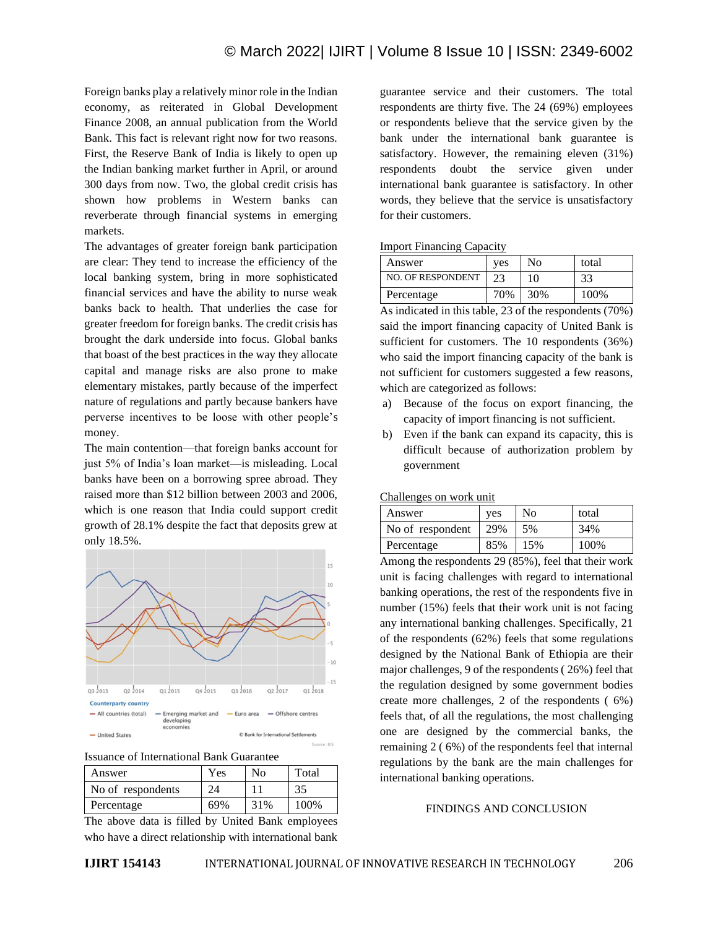Foreign banks play a relatively minor role in the Indian economy, as reiterated in Global Development Finance 2008, an annual publication from the World Bank. This fact is relevant right now for two reasons. First, the Reserve Bank of India is likely to open up the Indian banking market further in April, or around 300 days from now. Two, the global credit crisis has shown how problems in Western banks can reverberate through financial systems in emerging markets.

The advantages of greater foreign bank participation are clear: They tend to increase the efficiency of the local banking system, bring in more sophisticated financial services and have the ability to nurse weak banks back to health. That underlies the case for greater freedom for foreign banks. The credit crisis has brought the dark underside into focus. Global banks that boast of the best practices in the way they allocate capital and manage risks are also prone to make elementary mistakes, partly because of the imperfect nature of regulations and partly because bankers have perverse incentives to be loose with other people's money.

The main contention—that foreign banks account for just 5% of India's loan market—is misleading. Local banks have been on a borrowing spree abroad. They raised more than \$12 billion between 2003 and 2006, which is one reason that India could support credit growth of 28.1% despite the fact that deposits grew at only 18.5%.



Issuance of International Bank Guarantee

| Answer            | Yes | No  | Total |
|-------------------|-----|-----|-------|
| No of respondents | 24  |     | 35    |
| Percentage        | 69% | 31% | 100\% |

The above data is filled by United Bank employees who have a direct relationship with international bank

guarantee service and their customers. The total respondents are thirty five. The 24 (69%) employees or respondents believe that the service given by the bank under the international bank guarantee is satisfactory. However, the remaining eleven (31%) respondents doubt the service given under international bank guarantee is satisfactory. In other words, they believe that the service is unsatisfactory for their customers.

#### Import Financing Capacity

| Answer                   | ves | No  | total |
|--------------------------|-----|-----|-------|
| <b>NO. OF RESPONDENT</b> | າາ  | 10  | 33    |
| Percentage               | 70% | 30% | 100%  |

As indicated in this table, 23 of the respondents (70%) said the import financing capacity of United Bank is sufficient for customers. The 10 respondents (36%) who said the import financing capacity of the bank is not sufficient for customers suggested a few reasons, which are categorized as follows:

- a) Because of the focus on export financing, the capacity of import financing is not sufficient.
- b) Even if the bank can expand its capacity, this is difficult because of authorization problem by government

Challenges on work unit

| Answer           | ves | No  | total |
|------------------|-----|-----|-------|
| No of respondent | 29% | 5%  | 34%   |
| Percentage       | 85% | 15% | 100%  |

Among the respondents 29 (85%), feel that their work unit is facing challenges with regard to international banking operations, the rest of the respondents five in number (15%) feels that their work unit is not facing any international banking challenges. Specifically, 21 of the respondents (62%) feels that some regulations designed by the National Bank of Ethiopia are their major challenges, 9 of the respondents ( 26%) feel that the regulation designed by some government bodies create more challenges, 2 of the respondents ( 6%) feels that, of all the regulations, the most challenging one are designed by the commercial banks, the remaining 2 ( 6%) of the respondents feel that internal regulations by the bank are the main challenges for international banking operations.

#### FINDINGS AND CONCLUSION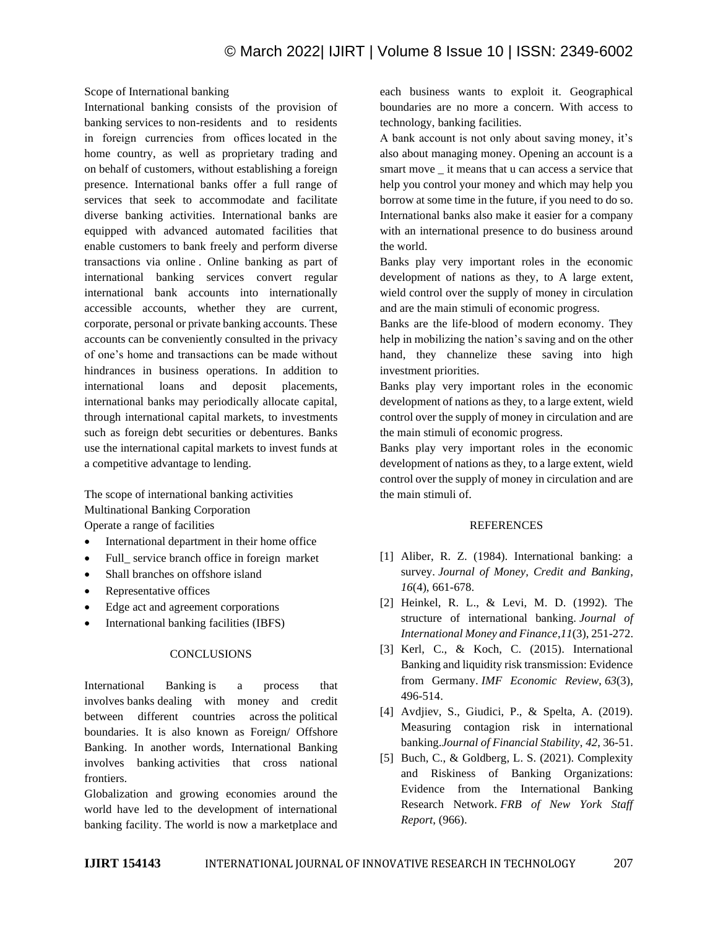Scope of International banking

International banking consists of the provision of banking services to non-residents and to residents in foreign currencies from offices located in the home country, as well as proprietary trading and on behalf of customers, without establishing a foreign presence. International banks offer a full range of services that seek to accommodate and facilitate diverse banking activities. International banks are equipped with advanced automated facilities that enable customers to bank freely and perform diverse transactions via online . Online banking as part of international banking services convert regular international bank accounts into internationally accessible accounts, whether they are current, corporate, personal or private banking accounts. These accounts can be conveniently consulted in the privacy of one's home and transactions can be made without hindrances in business operations. In addition to international loans and deposit placements, international banks may periodically allocate capital, through international capital markets, to investments such as foreign debt securities or debentures. Banks use the international capital markets to invest funds at a competitive advantage to lending.

The scope of international banking activities Multinational Banking Corporation Operate a range of facilities

- International department in their home office
- Full service branch office in foreign market
- Shall branches on offshore island
- Representative offices
- Edge act and agreement corporations
- International banking facilities (IBFS)

## **CONCLUSIONS**

International Banking is a process that involves banks dealing with money and credit between different countries across the political boundaries. It is also known as Foreign/ Offshore Banking. In another words, International Banking involves banking activities that cross national frontiers.

Globalization and growing economies around the world have led to the development of international banking facility. The world is now a marketplace and each business wants to exploit it. Geographical boundaries are no more a concern. With access to technology, banking facilities.

A bank account is not only about saving money, it's also about managing money. Opening an account is a smart move \_ it means that u can access a service that help you control your money and which may help you borrow at some time in the future, if you need to do so. International banks also make it easier for a company with an international presence to do business around the world.

Banks play very important roles in the economic development of nations as they, to A large extent, wield control over the supply of money in circulation and are the main stimuli of economic progress.

Banks are the life-blood of modern economy. They help in mobilizing the nation's saving and on the other hand, they channelize these saving into high investment priorities.

Banks play very important roles in the economic development of nations as they, to a large extent, wield control over the supply of money in circulation and are the main stimuli of economic progress.

Banks play very important roles in the economic development of nations as they, to a large extent, wield control over the supply of money in circulation and are the main stimuli of.

## **REFERENCES**

- [1] Aliber, R. Z. (1984). International banking: a survey. *Journal of Money, Credit and Banking*, *16*(4), 661-678.
- [2] Heinkel, R. L., & Levi, M. D. (1992). The structure of international banking. *Journal of International Money and Finance*,*11*(3), 251-272.
- [3] Kerl, C., & Koch, C. (2015). International Banking and liquidity risk transmission: Evidence from Germany. *IMF Economic Review*, *63*(3), 496-514.
- [4] Avdjiev, S., Giudici, P., & Spelta, A. (2019). Measuring contagion risk in international banking.*Journal of Financial Stability*, *42*, 36-51.
- [5] Buch, C., & Goldberg, L. S. (2021). Complexity and Riskiness of Banking Organizations: Evidence from the International Banking Research Network. *FRB of New York Staff Report*, (966).